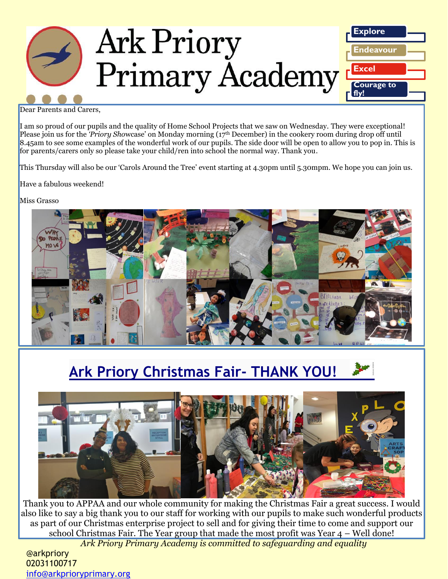

Dear Parents and Carers,

I am so proud of our pupils and the quality of Home School Projects that we saw on Wednesday. They were exceptional! Please join us for the *'Priory Sho*wcase' on Monday morning (17th December) in the cookery room during drop off until 8.45am to see some examples of the wonderful work of our pupils. The side door will be open to allow you to pop in. This is for parents/carers only so please take your child/ren into school the normal way. Thank you.

This Thursday will also be our 'Carols Around the Tree' event starting at 4.30pm until 5.30mpm. We hope you can join us.

Have a fabulous weekend!

Miss Grasso



# **Ark Priory Christmas Fair- THANK YOU!**



Thank you to APPAA and our whole community for making the Christmas Fair a great success. I would also like to say a big thank you to our staff for working with our pupils to make such wonderful products as part of our Christmas enterprise project to sell and for giving their time to come and support our school Christmas Fair. The Year group that made the most profit was Year 4 – Well done!

*Ark Priory Primary Academy is committed to safeguarding and equality* 

@arkpriory 02031100717 [info@arkprioryprimary.org](mailto:info@arkprioryprimary.org)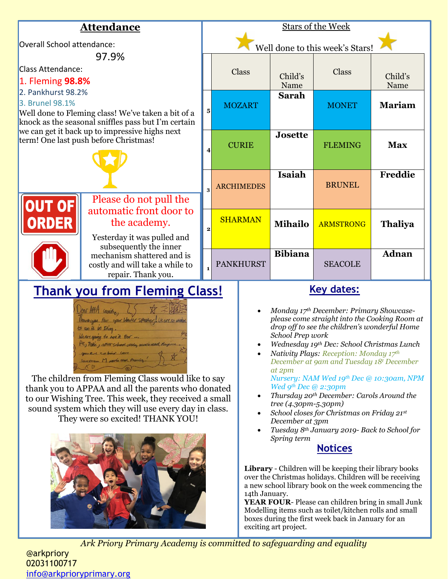

*Ark Priory Primary Academy is committed to safeguarding and equality* 

@arkpriory 02031100717 [info@arkprioryprimary.org](mailto:info@arkprioryprimary.org)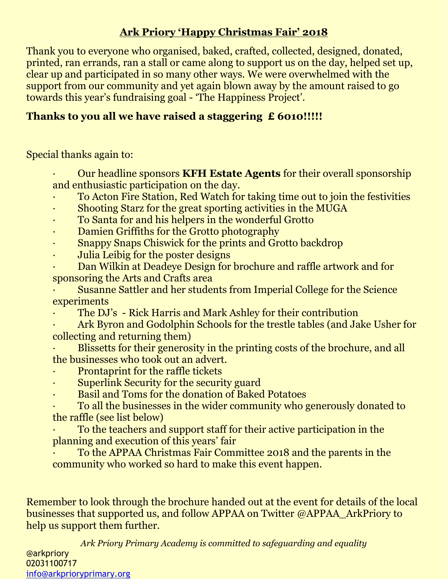## **Ark Priory 'Happy Christmas Fair' 2018**

Thank you to everyone who organised, baked, crafted, collected, designed, donated, printed, ran errands, ran a stall or came along to support us on the day, helped set up, clear up and participated in so many other ways. We were overwhelmed with the support from our community and yet again blown away by the amount raised to go towards this year's fundraising goal - 'The Happiness Project'.

## **Thanks to you all we have raised a staggering £ 6010!!!!!**

Special thanks again to:

- · Our headline sponsors **KFH Estate Agents** for their overall sponsorship and enthusiastic participation on the day.
- · To Acton Fire Station, Red Watch for taking time out to join the festivities
- Shooting Starz for the great sporting activities in the MUGA
- · To Santa for and his helpers in the wonderful Grotto
- Damien Griffiths for the Grotto photography
- · Snappy Snaps Chiswick for the prints and Grotto backdrop
- Julia Leibig for the poster designs
- · Dan Wilkin at Deadeye Design for brochure and raffle artwork and for sponsoring the Arts and Crafts area
- · Susanne Sattler and her students from Imperial College for the Science experiments
- The DJ's Rick Harris and Mark Ashley for their contribution
- · Ark Byron and Godolphin Schools for the trestle tables (and Jake Usher for collecting and returning them)
- Blissetts for their generosity in the printing costs of the brochure, and all the businesses who took out an advert.
- Prontaprint for the raffle tickets
- Superlink Security for the security guard
- · Basil and Toms for the donation of Baked Potatoes
- · To all the businesses in the wider community who generously donated to the raffle (see list below)
- · To the teachers and support staff for their active participation in the planning and execution of this years' fair
- · To the APPAA Christmas Fair Committee 2018 and the parents in the community who worked so hard to make this event happen.

Remember to look through the brochure handed out at the event for details of the local businesses that supported us, and follow APPAA on Twitter @APPAA\_ArkPriory to help us support them further.

*Ark Priory Primary Academy is committed to safeguarding and equality*  @arkpriory 02031100717 [info@arkprioryprimary.org](mailto:info@arkprioryprimary.org)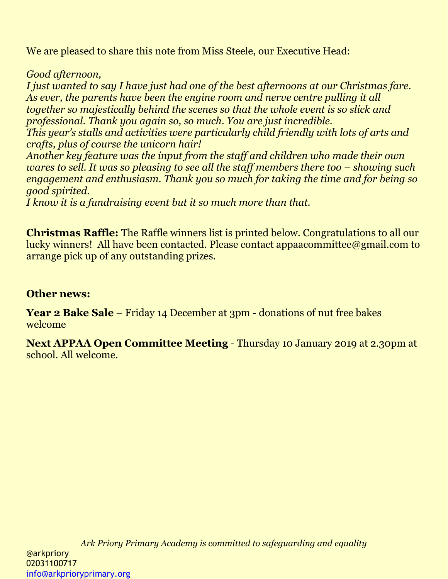We are pleased to share this note from Miss Steele, our Executive Head:

*Good afternoon,*

*I just wanted to say I have just had one of the best afternoons at our Christmas fare. As ever, the parents have been the engine room and nerve centre pulling it all together so majestically behind the scenes so that the whole event is so slick and professional. Thank you again so, so much. You are just incredible.*

*This year's stalls and activities were particularly child friendly with lots of arts and crafts, plus of course the unicorn hair!*

*Another key feature was the input from the staff and children who made their own wares to sell. It was so pleasing to see all the staff members there too – showing such engagement and enthusiasm. Thank you so much for taking the time and for being so good spirited.*

*I know it is a fundraising event but it so much more than that.*

**Christmas Raffle:** The Raffle winners list is printed below. Congratulations to all our lucky winners! All have been contacted. Please contact appaacommittee@gmail.com to arrange pick up of any outstanding prizes.

## **Other news:**

**Year 2 Bake Sale** – Friday 14 December at 3pm - donations of nut free bakes welcome

**Next APPAA Open Committee Meeting** - Thursday 10 January 2019 at 2.30pm at school. All welcome.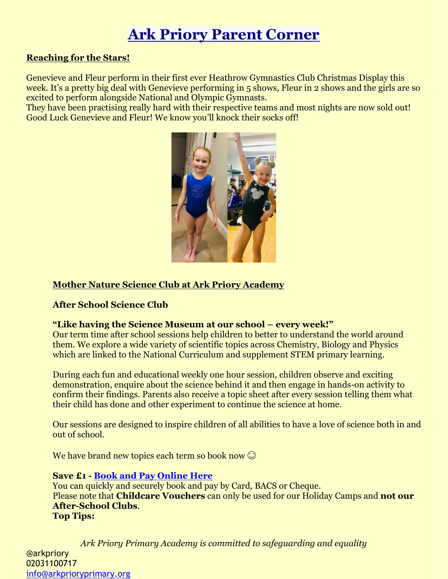# **Ark Priory Parent Corner**

#### **Reaching for the Stars!**

Genevieve and Fleur perform in their first ever Heathrow Gymnastics Club Christmas Display this week. It's a pretty big deal with Genevieve performing in 5 shows, Fleur in 2 shows and the girls are so excited to perform alongside National and Olympic Gymnasts.

They have been practising really hard with their respective teams and most nights are now sold out! Good Luck Genevieve and Fleur! We know you'll knock their socks off!



### **Mother Nature Science Club at Ark Priory Academy**

### **After School Science Club**

#### **"Like having the Science Museum at our school – every week!"**

Our term time after school sessions help children to better to understand the world around them. We explore a wide variety of scientific topics across Chemistry, Biology and Physics which are linked to the National Curriculum and supplement STEM primary learning.

During each fun and educational weekly one hour session, children observe and exciting demonstration, enquire about the science behind it and then engage in hands-on activity to confirm their findings. Parents also receive a topic sheet after every session telling them what their child has done and other experiment to continue the science at home.

Our sessions are designed to inspire children of all abilities to have a love of science both in and out of school.

We have brand new topics each term so book now  $\odot$ 

#### **Save £1 - [Book and Pay Online Here](https://www.mnature.co.uk/parent-booking/)**

You can quickly and securely book and pay by Card, BACS or Cheque. Please note that **Childcare Vouchers** can only be used for our Holiday Camps and **not our After-School Clubs**. **Top Tips:**

*Ark Priory Primary Academy is committed to safeguarding and equality*  @arkpriory 02031100717 [info@arkprioryprimary.org](mailto:info@arkprioryprimary.org)